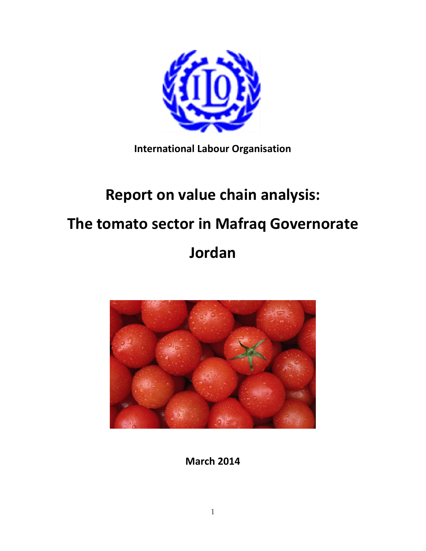

**International Labour Organisation**

# **Report on value chain analysis: The tomato sector in Mafraq Governorate Jordan**



**March 2014**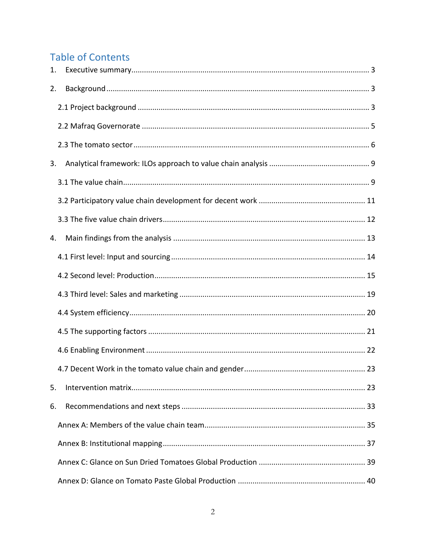# **Table of Contents**

| 1. |  |
|----|--|
| 2. |  |
|    |  |
|    |  |
|    |  |
| 3. |  |
|    |  |
|    |  |
|    |  |
| 4. |  |
|    |  |
|    |  |
|    |  |
|    |  |
|    |  |
|    |  |
|    |  |
| 5. |  |
| 6. |  |
|    |  |
|    |  |
|    |  |
|    |  |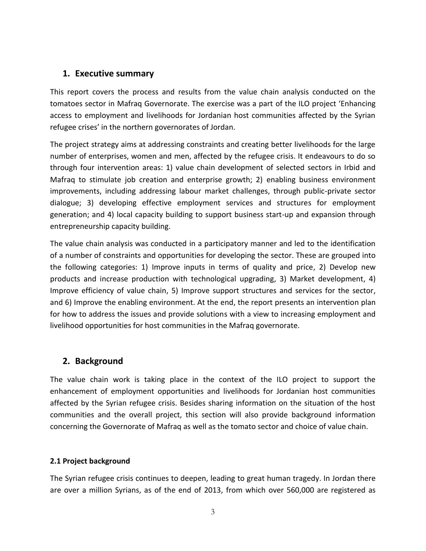# <span id="page-2-0"></span>**1. Executive summary**

This report covers the process and results from the value chain analysis conducted on the tomatoes sector in Mafraq Governorate. The exercise was a part of the ILO project 'Enhancing access to employment and livelihoods for Jordanian host communities affected by the Syrian refugee crises' in the northern governorates of Jordan.

The project strategy aims at addressing constraints and creating better livelihoods for the large number of enterprises, women and men, affected by the refugee crisis. It endeavours to do so through four intervention areas: 1) value chain development of selected sectors in Irbid and Mafraq to stimulate job creation and enterprise growth; 2) enabling business environment improvements, including addressing labour market challenges, through public-private sector dialogue; 3) developing effective employment services and structures for employment generation; and 4) local capacity building to support business start-up and expansion through entrepreneurship capacity building.

The value chain analysis was conducted in a participatory manner and led to the identification of a number of constraints and opportunities for developing the sector. These are grouped into the following categories: 1) Improve inputs in terms of quality and price, 2) Develop new products and increase production with technological upgrading, 3) Market development, 4) Improve efficiency of value chain, 5) Improve support structures and services for the sector, and 6) Improve the enabling environment. At the end, the report presents an intervention plan for how to address the issues and provide solutions with a view to increasing employment and livelihood opportunities for host communities in the Mafraq governorate.

# <span id="page-2-1"></span>**2. Background**

The value chain work is taking place in the context of the ILO project to support the enhancement of employment opportunities and livelihoods for Jordanian host communities affected by the Syrian refugee crisis. Besides sharing information on the situation of the host communities and the overall project, this section will also provide background information concerning the Governorate of Mafraq as well as the tomato sector and choice of value chain.

# <span id="page-2-2"></span>**2.1 Project background**

The Syrian refugee crisis continues to deepen, leading to great human tragedy. In Jordan there are over a million Syrians, as of the end of 2013, from which over 560,000 are registered as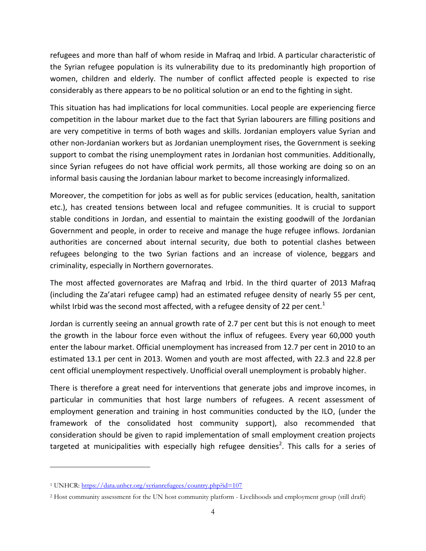refugees and more than half of whom reside in Mafraq and Irbid. A particular characteristic of the Syrian refugee population is its vulnerability due to its predominantly high proportion of women, children and elderly. The number of conflict affected people is expected to rise considerably as there appears to be no political solution or an end to the fighting in sight.

This situation has had implications for local communities. Local people are experiencing fierce competition in the labour market due to the fact that Syrian labourers are filling positions and are very competitive in terms of both wages and skills. Jordanian employers value Syrian and other non-Jordanian workers but as Jordanian unemployment rises, the Government is seeking support to combat the rising unemployment rates in Jordanian host communities. Additionally, since Syrian refugees do not have official work permits, all those working are doing so on an informal basis causing the Jordanian labour market to become increasingly informalized.

Moreover, the competition for jobs as well as for public services (education, health, sanitation etc.), has created tensions between local and refugee communities. It is crucial to support stable conditions in Jordan, and essential to maintain the existing goodwill of the Jordanian Government and people, in order to receive and manage the huge refugee inflows. Jordanian authorities are concerned about internal security, due both to potential clashes between refugees belonging to the two Syrian factions and an increase of violence, beggars and criminality, especially in Northern governorates.

The most affected governorates are Mafraq and Irbid. In the third quarter of 2013 Mafraq (including the Za'atari refugee camp) had an estimated refugee density of nearly 55 per cent, whilst Irbid was the second most affected, with a refugee density of 22 per cent.<sup>1</sup>

Jordan is currently seeing an annual growth rate of 2.7 per cent but this is not enough to meet the growth in the labour force even without the influx of refugees. Every year 60,000 youth enter the labour market. Official unemployment has increased from 12.7 per cent in 2010 to an estimated 13.1 per cent in 2013. Women and youth are most affected, with 22.3 and 22.8 per cent official unemployment respectively. Unofficial overall unemployment is probably higher.

There is therefore a great need for interventions that generate jobs and improve incomes, in particular in communities that host large numbers of refugees. A recent assessment of employment generation and training in host communities conducted by the ILO, (under the framework of the consolidated host community support), also recommended that consideration should be given to rapid implementation of small employment creation projects targeted at municipalities with especially high refugee densities<sup>2</sup>. This calls for a series of

 $\overline{a}$ 

<sup>&</sup>lt;sup>1</sup> UNHCR:<https://data.unhcr.org/syrianrefugees/country.php?id=107>

<sup>2</sup> Host community assessment for the UN host community platform - Livelihoods and employment group (still draft)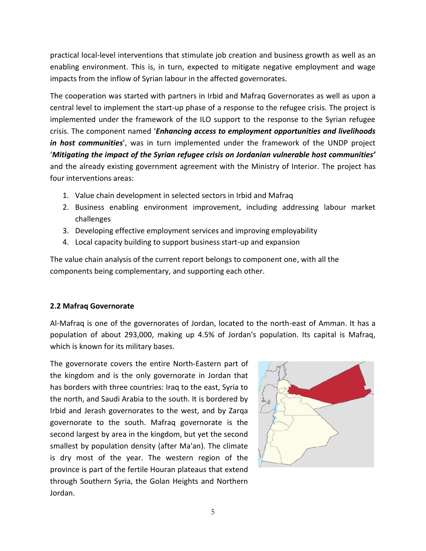practical local-level interventions that stimulate job creation and business growth as well as an enabling environment. This is, in turn, expected to mitigate negative employment and wage impacts from the inflow of Syrian labour in the affected governorates.

The cooperation was started with partners in Irbid and Mafraq Governorates as well as upon a central level to implement the start-up phase of a response to the refugee crisis. The project is implemented under the framework of the ILO support to the response to the Syrian refugee crisis. The component named '*Enhancing access to employment opportunities and livelihoods in host communities*', was in turn implemented under the framework of the UNDP project '*Mitigating the impact of the Syrian refugee crisis on Jordanian vulnerable host communities'*  and the already existing government agreement with the Ministry of Interior. The project has four interventions areas:

- 1. Value chain development in selected sectors in Irbid and Mafraq
- 2. Business enabling environment improvement, including addressing labour market challenges
- 3. Developing effective employment services and improving employability
- 4. Local capacity building to support business start-up and expansion

The value chain analysis of the current report belongs to component one, with all the components being complementary, and supporting each other.

# <span id="page-4-0"></span>**2.2 Mafraq Governorate**

Al-Mafraq is one of the governorates of Jordan, located to the north-east of Amman. It has a population of about 293,000, making up 4.5% of Jordan's population. Its capital is Mafraq, which is known for its military bases.

The governorate covers the entire North-Eastern part of the kingdom and is the only governorate in Jordan that has borders with three countries: Iraq to the east, Syria to the north, and Saudi Arabia to the south. It is bordered by Irbid and Jerash governorates to the west, and by Zarqa governorate to the south. Mafraq governorate is the second largest by area in the kingdom, but yet the second smallest by population density (after Ma'an). The climate is dry most of the year. The western region of the province is part of the fertile Houran plateaus that extend through Southern Syria, the Golan Heights and Northern Jordan.

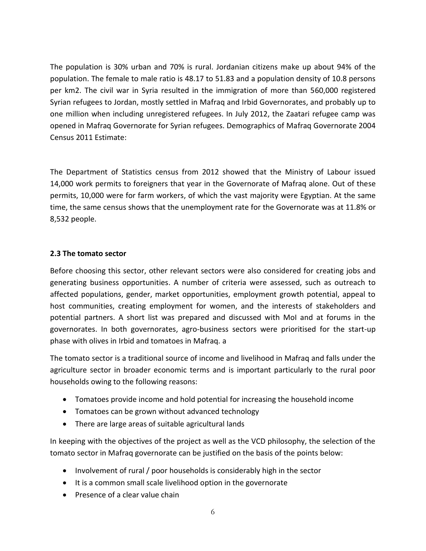The population is 30% urban and 70% is rural. Jordanian citizens make up about 94% of the population. The female to male ratio is 48.17 to 51.83 and a population density of 10.8 persons per km2. The civil war in Syria resulted in the immigration of more than 560,000 registered Syrian refugees to Jordan, mostly settled in Mafraq and Irbid Governorates, and probably up to one million when including unregistered refugees. In July 2012, the Zaatari refugee camp was opened in Mafraq Governorate for Syrian refugees. Demographics of Mafraq Governorate 2004 Census 2011 Estimate:

The Department of Statistics census from 2012 showed that the Ministry of Labour issued 14,000 work permits to foreigners that year in the Governorate of Mafraq alone. Out of these permits, 10,000 were for farm workers, of which the vast majority were Egyptian. At the same time, the same census shows that the unemployment rate for the Governorate was at 11.8% or 8,532 people.

#### <span id="page-5-0"></span>**2.3 The tomato sector**

Before choosing this sector, other relevant sectors were also considered for creating jobs and generating business opportunities. A number of criteria were assessed, such as outreach to affected populations, gender, market opportunities, employment growth potential, appeal to host communities, creating employment for women, and the interests of stakeholders and potential partners. A short list was prepared and discussed with MoI and at forums in the governorates. In both governorates, agro-business sectors were prioritised for the start-up phase with olives in Irbid and tomatoes in Mafraq. a

The tomato sector is a traditional source of income and livelihood in Mafraq and falls under the agriculture sector in broader economic terms and is important particularly to the rural poor households owing to the following reasons:

- Tomatoes provide income and hold potential for increasing the household income
- Tomatoes can be grown without advanced technology
- There are large areas of suitable agricultural lands

In keeping with the objectives of the project as well as the VCD philosophy, the selection of the tomato sector in Mafraq governorate can be justified on the basis of the points below:

- Involvement of rural / poor households is considerably high in the sector
- It is a common small scale livelihood option in the governorate
- Presence of a clear value chain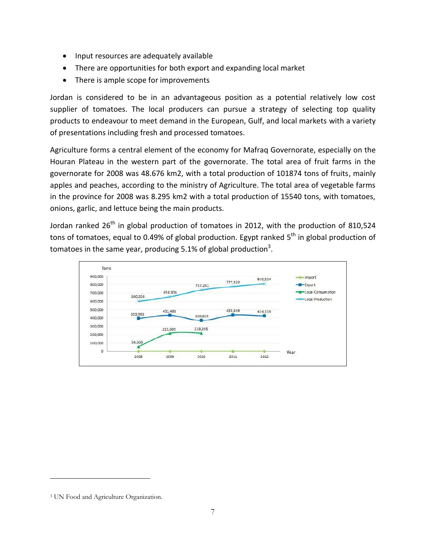- Input resources are adequately available
- There are opportunities for both export and expanding local market
- There is ample scope for improvements

Jordan is considered to be in an advantageous position as a potential relatively low cost supplier of tomatoes. The local producers can pursue a strategy of selecting top quality products to endeavour to meet demand in the European, Gulf, and local markets with a variety of presentations including fresh and processed tomatoes.

Agriculture forms a central element of the economy for Mafraq Governorate, especially on the Houran Plateau in the western part of the governorate. The total area of fruit farms in the governorate for 2008 was 48.676 km2, with a total production of 101874 tons of fruits, mainly apples and peaches, according to the ministry of Agriculture. The total area of vegetable farms in the province for 2008 was 8.295 km2 with a total production of 15540 tons, with tomatoes, onions, garlic, and lettuce being the main products.

Jordan ranked  $26<sup>th</sup>$  in global production of tomatoes in 2012, with the production of 810,524 tons of tomatoes, equal to 0.49% of global production. Egypt ranked 5<sup>th</sup> in global production of tomatoes in the same year, producing 5.1% of global production<sup>3</sup>.



 $\overline{a}$ 

<sup>3</sup> UN Food and Agriculture Organization.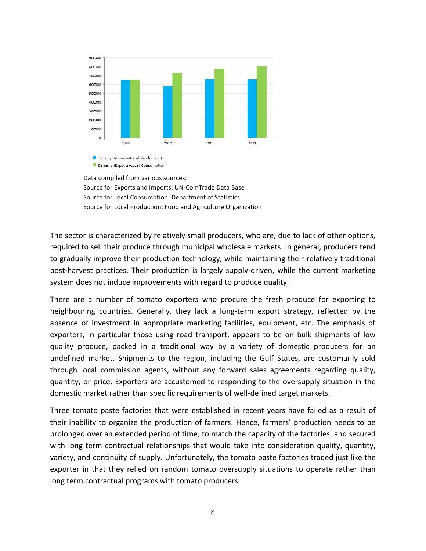

The sector is characterized by relatively small producers, who are, due to lack of other options, required to sell their produce through municipal wholesale markets. In general, producers tend to gradually improve their production technology, while maintaining their relatively traditional post-harvest practices. Their production is largely supply-driven, while the current marketing system does not induce improvements with regard to produce quality.

There are a number of tomato exporters who procure the fresh produce for exporting to neighbouring countries. Generally, they lack a long-term export strategy, reflected by the absence of investment in appropriate marketing facilities, equipment, etc. The emphasis of exporters, in particular those using road transport, appears to be on bulk shipments of low quality produce, packed in a traditional way by a variety of domestic producers for an undefined market. Shipments to the region, including the Gulf States, are customarily sold through local commission agents, without any forward sales agreements regarding quality, quantity, or price. Exporters are accustomed to responding to the oversupply situation in the domestic market rather than specific requirements of well-defined target markets.

Three tomato paste factories that were established in recent years have failed as a result of their inability to organize the production of farmers. Hence, farmers' production needs to be prolonged over an extended period of time, to match the capacity of the factories, and secured with long term contractual relationships that would take into consideration quality, quantity, variety, and continuity of supply. Unfortunately, the tomato paste factories traded just like the exporter in that they relied on random tomato oversupply situations to operate rather than long term contractual programs with tomato producers.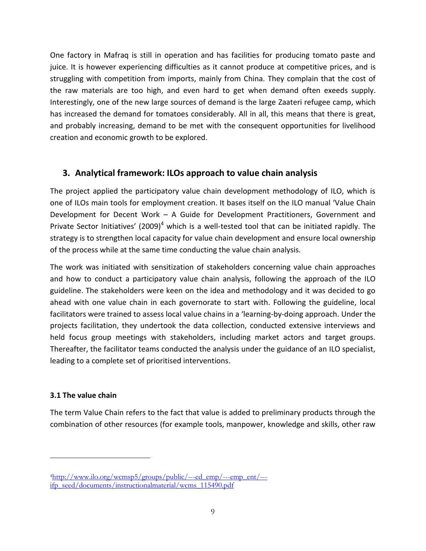One factory in Mafraq is still in operation and has facilities for producing tomato paste and juice. It is however experiencing difficulties as it cannot produce at competitive prices, and is struggling with competition from imports, mainly from China. They complain that the cost of the raw materials are too high, and even hard to get when demand often exeeds supply. Interestingly, one of the new large sources of demand is the large Zaateri refugee camp, which has increased the demand for tomatoes considerably. All in all, this means that there is great, and probably increasing, demand to be met with the consequent opportunities for livelihood creation and economic growth to be explored.

# <span id="page-8-0"></span>**3. Analytical framework: ILOs approach to value chain analysis**

The project applied the participatory value chain development methodology of ILO, which is one of ILOs main tools for employment creation. It bases itself on the ILO manual 'Value Chain Development for Decent Work – A Guide for Development Practitioners, Government and Private Sector Initiatives' (2009)<sup>4</sup> which is a well-tested tool that can be initiated rapidly. The strategy is to strengthen local capacity for value chain development and ensure local ownership of the process while at the same time conducting the value chain analysis.

The work was initiated with sensitization of stakeholders concerning value chain approaches and how to conduct a participatory value chain analysis, following the approach of the ILO guideline. The stakeholders were keen on the idea and methodology and it was decided to go ahead with one value chain in each governorate to start with. Following the guideline, local facilitators were trained to assess local value chains in a 'learning-by-doing approach. Under the projects facilitation, they undertook the data collection, conducted extensive interviews and held focus group meetings with stakeholders, including market actors and target groups. Thereafter, the facilitator teams conducted the analysis under the guidance of an ILO specialist, leading to a complete set of prioritised interventions.

# <span id="page-8-1"></span>**3.1 The value chain**

 $\overline{a}$ 

The term Value Chain refers to the fact that value is added to preliminary products through the combination of other resources (for example tools, manpower, knowledge and skills, other raw

<sup>4</sup>[http://www.ilo.org/wcmsp5/groups/public/---ed\\_emp/---emp\\_ent/--](http://www.ilo.org/wcmsp5/groups/public/---ed_emp/---emp_ent/---ifp_seed/documents/instructionalmaterial/wcms_115490.pdf) [ifp\\_seed/documents/instructionalmaterial/wcms\\_115490.pdf](http://www.ilo.org/wcmsp5/groups/public/---ed_emp/---emp_ent/---ifp_seed/documents/instructionalmaterial/wcms_115490.pdf)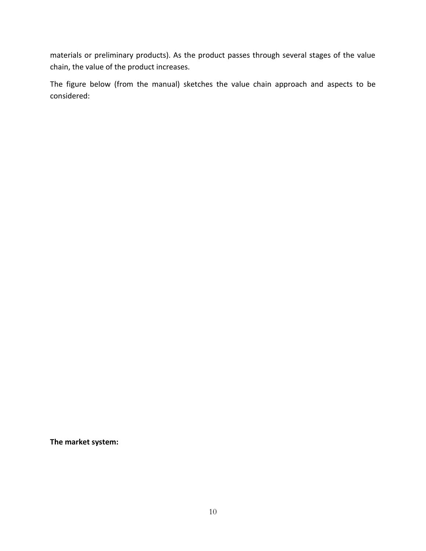materials or preliminary products). As the product passes through several stages of the value chain, the value of the product increases.

The figure below (from the manual) sketches the value chain approach and aspects to be considered:

**The market system:**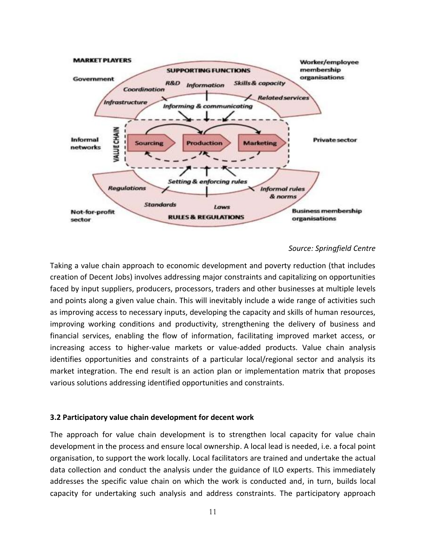

#### *Source: Springfield Centre*

Taking a value chain approach to economic development and poverty reduction (that includes creation of Decent Jobs) involves addressing major constraints and capitalizing on opportunities faced by input suppliers, producers, processors, traders and other businesses at multiple levels and points along a given value chain. This will inevitably include a wide range of activities such as improving access to necessary inputs, developing the capacity and skills of human resources, improving working conditions and productivity, strengthening the delivery of business and financial services, enabling the flow of information, facilitating improved market access, or increasing access to higher-value markets or value-added products. Value chain analysis identifies opportunities and constraints of a particular local/regional sector and analysis its market integration. The end result is an action plan or implementation matrix that proposes various solutions addressing identified opportunities and constraints.

#### <span id="page-10-0"></span>**3.2 Participatory value chain development for decent work**

The approach for value chain development is to strengthen local capacity for value chain development in the process and ensure local ownership. A local lead is needed, i.e. a focal point organisation, to support the work locally. Local facilitators are trained and undertake the actual data collection and conduct the analysis under the guidance of ILO experts. This immediately addresses the specific value chain on which the work is conducted and, in turn, builds local capacity for undertaking such analysis and address constraints. The participatory approach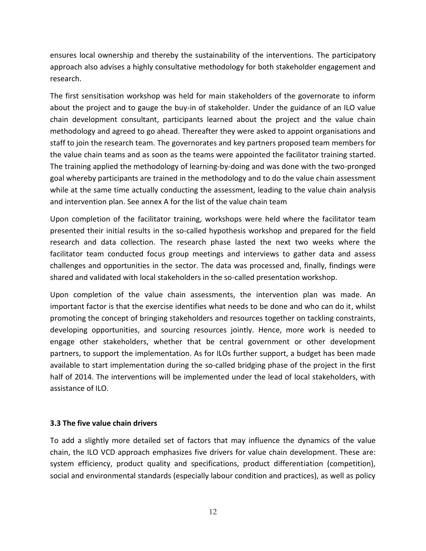ensures local ownership and thereby the sustainability of the interventions. The participatory approach also advises a highly consultative methodology for both stakeholder engagement and research.

The first sensitisation workshop was held for main stakeholders of the governorate to inform about the project and to gauge the buy-in of stakeholder. Under the guidance of an ILO value chain development consultant, participants learned about the project and the value chain methodology and agreed to go ahead. Thereafter they were asked to appoint organisations and staff to join the research team. The governorates and key partners proposed team members for the value chain teams and as soon as the teams were appointed the facilitator training started. The training applied the methodology of learning-by-doing and was done with the two-pronged goal whereby participants are trained in the methodology and to do the value chain assessment while at the same time actually conducting the assessment, leading to the value chain analysis and intervention plan. See annex A for the list of the value chain team

Upon completion of the facilitator training, workshops were held where the facilitator team presented their initial results in the so-called hypothesis workshop and prepared for the field research and data collection. The research phase lasted the next two weeks where the facilitator team conducted focus group meetings and interviews to gather data and assess challenges and opportunities in the sector. The data was processed and, finally, findings were shared and validated with local stakeholders in the so-called presentation workshop.

Upon completion of the value chain assessments, the intervention plan was made. An important factor is that the exercise identifies what needs to be done and who can do it, whilst promoting the concept of bringing stakeholders and resources together on tackling constraints, developing opportunities, and sourcing resources jointly. Hence, more work is needed to engage other stakeholders, whether that be central government or other development partners, to support the implementation. As for ILOs further support, a budget has been made available to start implementation during the so-called bridging phase of the project in the first half of 2014. The interventions will be implemented under the lead of local stakeholders, with assistance of ILO.

# <span id="page-11-0"></span>**3.3 The five value chain drivers**

To add a slightly more detailed set of factors that may influence the dynamics of the value chain, the ILO VCD approach emphasizes five drivers for value chain development. These are: system efficiency, product quality and specifications, product differentiation (competition), social and environmental standards (especially labour condition and practices), as well as policy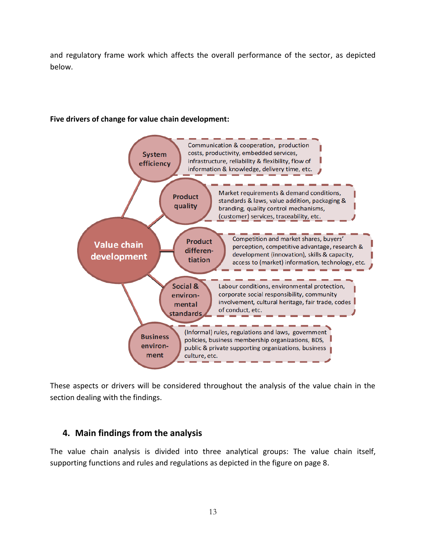and regulatory frame work which affects the overall performance of the sector, as depicted below.

#### **Five drivers of change for value chain development:**



These aspects or drivers will be considered throughout the analysis of the value chain in the section dealing with the findings.

# <span id="page-12-0"></span>**4. Main findings from the analysis**

The value chain analysis is divided into three analytical groups: The value chain itself, supporting functions and rules and regulations as depicted in the figure on page 8.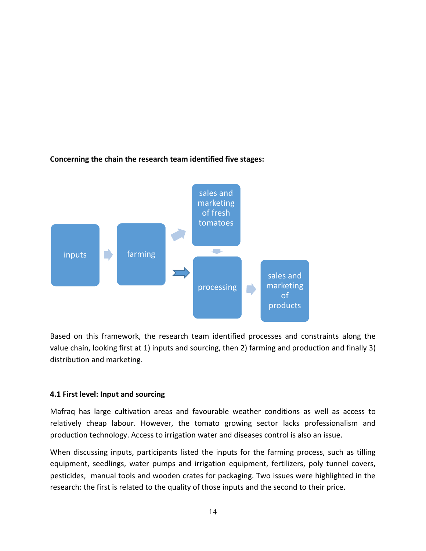

# **Concerning the chain the research team identified five stages:**

Based on this framework, the research team identified processes and constraints along the value chain, looking first at 1) inputs and sourcing, then 2) farming and production and finally 3) distribution and marketing.

# <span id="page-13-0"></span>**4.1 First level: Input and sourcing**

Mafraq has large cultivation areas and favourable weather conditions as well as access to relatively cheap labour. However, the tomato growing sector lacks professionalism and production technology. Access to irrigation water and diseases control is also an issue.

When discussing inputs, participants listed the inputs for the farming process, such as tilling equipment, seedlings, water pumps and irrigation equipment, fertilizers, poly tunnel covers, pesticides, manual tools and wooden crates for packaging. Two issues were highlighted in the research: the first is related to the quality of those inputs and the second to their price.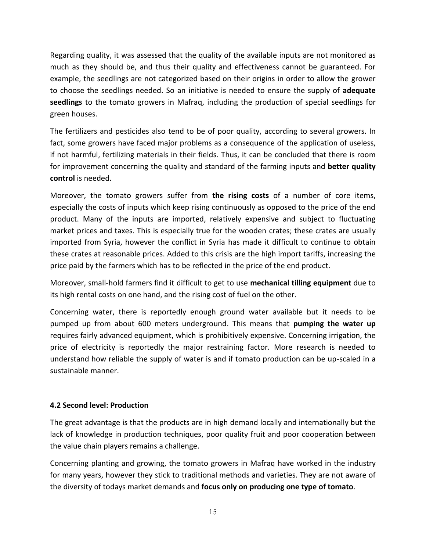Regarding quality, it was assessed that the quality of the available inputs are not monitored as much as they should be, and thus their quality and effectiveness cannot be guaranteed. For example, the seedlings are not categorized based on their origins in order to allow the grower to choose the seedlings needed. So an initiative is needed to ensure the supply of **adequate seedlings** to the tomato growers in Mafraq, including the production of special seedlings for green houses.

The fertilizers and pesticides also tend to be of poor quality, according to several growers. In fact, some growers have faced major problems as a consequence of the application of useless, if not harmful, fertilizing materials in their fields. Thus, it can be concluded that there is room for improvement concerning the quality and standard of the farming inputs and **better quality control** is needed.

Moreover, the tomato growers suffer from **the rising costs** of a number of core items, especially the costs of inputs which keep rising continuously as opposed to the price of the end product. Many of the inputs are imported, relatively expensive and subject to fluctuating market prices and taxes. This is especially true for the wooden crates; these crates are usually imported from Syria, however the conflict in Syria has made it difficult to continue to obtain these crates at reasonable prices. Added to this crisis are the high import tariffs, increasing the price paid by the farmers which has to be reflected in the price of the end product.

Moreover, small-hold farmers find it difficult to get to use **mechanical tilling equipment** due to its high rental costs on one hand, and the rising cost of fuel on the other.

Concerning water, there is reportedly enough ground water available but it needs to be pumped up from about 600 meters underground. This means that **pumping the water up** requires fairly advanced equipment, which is prohibitively expensive. Concerning irrigation, the price of electricity is reportedly the major restraining factor. More research is needed to understand how reliable the supply of water is and if tomato production can be up-scaled in a sustainable manner.

# <span id="page-14-0"></span>**4.2 Second level: Production**

The great advantage is that the products are in high demand locally and internationally but the lack of knowledge in production techniques, poor quality fruit and poor cooperation between the value chain players remains a challenge.

Concerning planting and growing, the tomato growers in Mafraq have worked in the industry for many years, however they stick to traditional methods and varieties. They are not aware of the diversity of todays market demands and **focus only on producing one type of tomato**.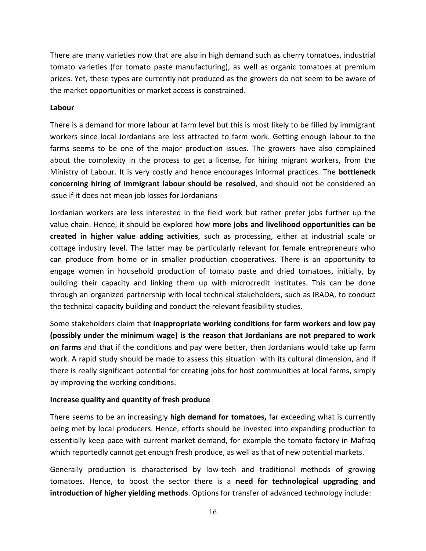There are many varieties now that are also in high demand such as cherry tomatoes, industrial tomato varieties (for tomato paste manufacturing), as well as organic tomatoes at premium prices. Yet, these types are currently not produced as the growers do not seem to be aware of the market opportunities or market access is constrained.

#### **Labour**

There is a demand for more labour at farm level but this is most likely to be filled by immigrant workers since local Jordanians are less attracted to farm work. Getting enough labour to the farms seems to be one of the major production issues. The growers have also complained about the complexity in the process to get a license, for hiring migrant workers, from the Ministry of Labour. It is very costly and hence encourages informal practices. The **bottleneck concerning hiring of immigrant labour should be resolved**, and should not be considered an issue if it does not mean job losses for Jordanians

Jordanian workers are less interested in the field work but rather prefer jobs further up the value chain. Hence, it should be explored how **more jobs and livelihood opportunities can be created in higher value adding activities**, such as processing, either at industrial scale or cottage industry level. The latter may be particularly relevant for female entrepreneurs who can produce from home or in smaller production cooperatives. There is an opportunity to engage women in household production of tomato paste and dried tomatoes, initially, by building their capacity and linking them up with microcredit institutes. This can be done through an organized partnership with local technical stakeholders, such as IRADA, to conduct the technical capacity building and conduct the relevant feasibility studies.

Some stakeholders claim that **inappropriate working conditions for farm workers and low pay (possibly under the minimum wage) is the reason that Jordanians are not prepared to work on farms** and that if the conditions and pay were better, then Jordanians would take up farm work. A rapid study should be made to assess this situation with its cultural dimension, and if there is really significant potential for creating jobs for host communities at local farms, simply by improving the working conditions.

#### **Increase quality and quantity of fresh produce**

There seems to be an increasingly **high demand for tomatoes,** far exceeding what is currently being met by local producers. Hence, efforts should be invested into expanding production to essentially keep pace with current market demand, for example the tomato factory in Mafraq which reportedly cannot get enough fresh produce, as well as that of new potential markets.

Generally production is characterised by low-tech and traditional methods of growing tomatoes. Hence, to boost the sector there is a **need for technological upgrading and introduction of higher yielding methods**. Options for transfer of advanced technology include: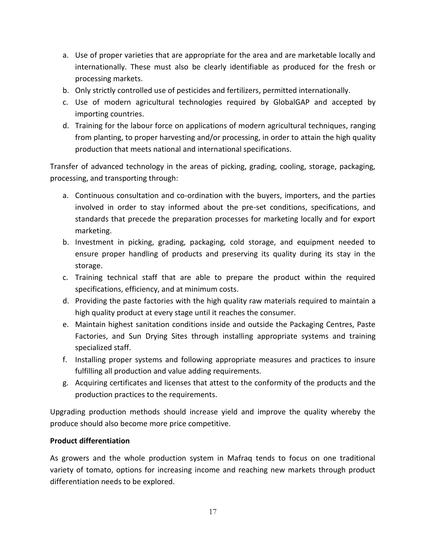- a. Use of proper varieties that are appropriate for the area and are marketable locally and internationally. These must also be clearly identifiable as produced for the fresh or processing markets.
- b. Only strictly controlled use of pesticides and fertilizers, permitted internationally.
- c. Use of modern agricultural technologies required by GlobalGAP and accepted by importing countries.
- d. Training for the labour force on applications of modern agricultural techniques, ranging from planting, to proper harvesting and/or processing, in order to attain the high quality production that meets national and international specifications.

Transfer of advanced technology in the areas of picking, grading, cooling, storage, packaging, processing, and transporting through:

- a. Continuous consultation and co-ordination with the buyers, importers, and the parties involved in order to stay informed about the pre-set conditions, specifications, and standards that precede the preparation processes for marketing locally and for export marketing.
- b. Investment in picking, grading, packaging, cold storage, and equipment needed to ensure proper handling of products and preserving its quality during its stay in the storage.
- c. Training technical staff that are able to prepare the product within the required specifications, efficiency, and at minimum costs.
- d. Providing the paste factories with the high quality raw materials required to maintain a high quality product at every stage until it reaches the consumer.
- e. Maintain highest sanitation conditions inside and outside the Packaging Centres, Paste Factories, and Sun Drying Sites through installing appropriate systems and training specialized staff.
- f. Installing proper systems and following appropriate measures and practices to insure fulfilling all production and value adding requirements.
- g. Acquiring certificates and licenses that attest to the conformity of the products and the production practices to the requirements.

Upgrading production methods should increase yield and improve the quality whereby the produce should also become more price competitive.

# **Product differentiation**

As growers and the whole production system in Mafraq tends to focus on one traditional variety of tomato, options for increasing income and reaching new markets through product differentiation needs to be explored.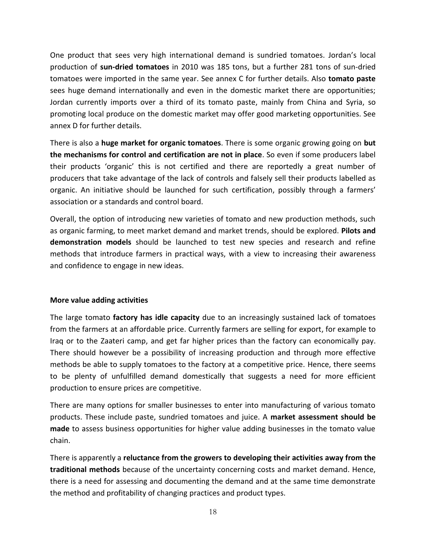One product that sees very high international demand is sundried tomatoes. Jordan's local production of **sun-dried tomatoes** in 2010 was 185 tons, but a further 281 tons of sun-dried tomatoes were imported in the same year. See annex C for further details. Also **tomato paste** sees huge demand internationally and even in the domestic market there are opportunities; Jordan currently imports over a third of its tomato paste, mainly from China and Syria, so promoting local produce on the domestic market may offer good marketing opportunities. See annex D for further details.

There is also a **huge market for organic tomatoes**. There is some organic growing going on **but the mechanisms for control and certification are not in place**. So even if some producers label their products 'organic' this is not certified and there are reportedly a great number of producers that take advantage of the lack of controls and falsely sell their products labelled as organic. An initiative should be launched for such certification, possibly through a farmers' association or a standards and control board.

Overall, the option of introducing new varieties of tomato and new production methods, such as organic farming, to meet market demand and market trends, should be explored. **Pilots and demonstration models** should be launched to test new species and research and refine methods that introduce farmers in practical ways, with a view to increasing their awareness and confidence to engage in new ideas.

#### **More value adding activities**

The large tomato **factory has idle capacity** due to an increasingly sustained lack of tomatoes from the farmers at an affordable price. Currently farmers are selling for export, for example to Iraq or to the Zaateri camp, and get far higher prices than the factory can economically pay. There should however be a possibility of increasing production and through more effective methods be able to supply tomatoes to the factory at a competitive price. Hence, there seems to be plenty of unfulfilled demand domestically that suggests a need for more efficient production to ensure prices are competitive.

There are many options for smaller businesses to enter into manufacturing of various tomato products. These include paste, sundried tomatoes and juice. A **market assessment should be made** to assess business opportunities for higher value adding businesses in the tomato value chain.

There is apparently a **reluctance from the growers to developing their activities away from the traditional methods** because of the uncertainty concerning costs and market demand. Hence, there is a need for assessing and documenting the demand and at the same time demonstrate the method and profitability of changing practices and product types.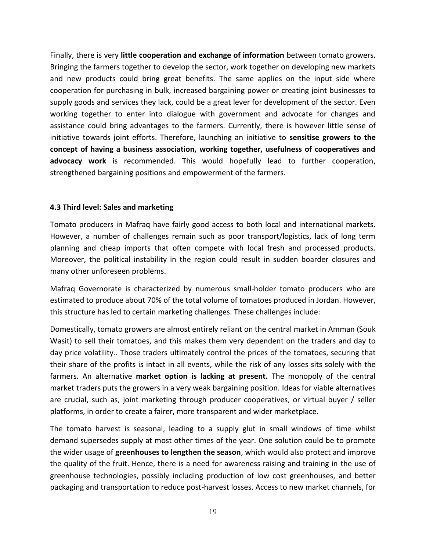Finally, there is very **little cooperation and exchange of information** between tomato growers. Bringing the farmers together to develop the sector, work together on developing new markets and new products could bring great benefits. The same applies on the input side where cooperation for purchasing in bulk, increased bargaining power or creating joint businesses to supply goods and services they lack, could be a great lever for development of the sector. Even working together to enter into dialogue with government and advocate for changes and assistance could bring advantages to the farmers. Currently, there is however little sense of initiative towards joint efforts. Therefore, launching an initiative to **sensitise growers to the concept of having a business association, working together, usefulness of cooperatives and advocacy work** is recommended. This would hopefully lead to further cooperation, strengthened bargaining positions and empowerment of the farmers.

#### <span id="page-18-0"></span>**4.3 Third level: Sales and marketing**

Tomato producers in Mafraq have fairly good access to both local and international markets. However, a number of challenges remain such as poor transport/logistics, lack of long term planning and cheap imports that often compete with local fresh and processed products. Moreover, the political instability in the region could result in sudden boarder closures and many other unforeseen problems.

Mafraq Governorate is characterized by numerous small-holder tomato producers who are estimated to produce about 70% of the total volume of tomatoes produced in Jordan. However, this structure has led to certain marketing challenges. These challenges include:

Domestically, tomato growers are almost entirely reliant on the central market in Amman (Souk Wasit) to sell their tomatoes, and this makes them very dependent on the traders and day to day price volatility.. Those traders ultimately control the prices of the tomatoes, securing that their share of the profits is intact in all events, while the risk of any losses sits solely with the farmers. An alternative **market option is lacking at present.** The monopoly of the central market traders puts the growers in a very weak bargaining position. Ideas for viable alternatives are crucial, such as, joint marketing through producer cooperatives, or virtual buyer / seller platforms, in order to create a fairer, more transparent and wider marketplace.

The tomato harvest is seasonal, leading to a supply glut in small windows of time whilst demand supersedes supply at most other times of the year. One solution could be to promote the wider usage of **greenhouses to lengthen the season**, which would also protect and improve the quality of the fruit. Hence, there is a need for awareness raising and training in the use of greenhouse technologies, possibly including production of low cost greenhouses, and better packaging and transportation to reduce post-harvest losses. Access to new market channels, for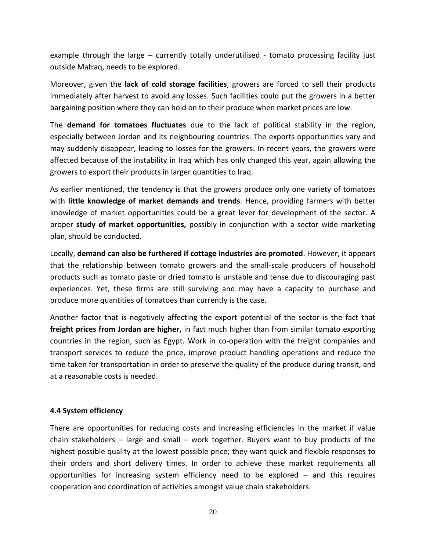example through the large – currently totally underutilised - tomato processing facility just outside Mafraq, needs to be explored.

Moreover, given the **lack of cold storage facilities**, growers are forced to sell their products immediately after harvest to avoid any losses. Such facilities could put the growers in a better bargaining position where they can hold on to their produce when market prices are low.

The **demand for tomatoes fluctuates** due to the lack of political stability in the region, especially between Jordan and its neighbouring countries. The exports opportunities vary and may suddenly disappear, leading to losses for the growers. In recent years, the growers were affected because of the instability in Iraq which has only changed this year, again allowing the growers to export their products in larger quantities to Iraq.

As earlier mentioned, the tendency is that the growers produce only one variety of tomatoes with **little knowledge of market demands and trends**. Hence, providing farmers with better knowledge of market opportunities could be a great lever for development of the sector. A proper **study of market opportunities,** possibly in conjunction with a sector wide marketing plan, should be conducted.

Locally, **demand can also be furthered if cottage industries are promoted**. However, it appears that the relationship between tomato growers and the small-scale producers of household products such as tomato paste or dried tomato is unstable and tense due to discouraging past experiences. Yet, these firms are still surviving and may have a capacity to purchase and produce more quantities of tomatoes than currently is the case.

Another factor that is negatively affecting the export potential of the sector is the fact that **freight prices from Jordan are higher,** in fact much higher than from similar tomato exporting countries in the region, such as Egypt. Work in co-operation with the freight companies and transport services to reduce the price, improve product handling operations and reduce the time taken for transportation in order to preserve the quality of the produce during transit, and at a reasonable costs is needed.

# <span id="page-19-0"></span>**4.4 System efficiency**

There are opportunities for reducing costs and increasing efficiencies in the market if value chain stakeholders – large and small – work together. Buyers want to buy products of the highest possible quality at the lowest possible price; they want quick and flexible responses to their orders and short delivery times. In order to achieve these market requirements all opportunities for increasing system efficiency need to be explored – and this requires cooperation and coordination of activities amongst value chain stakeholders.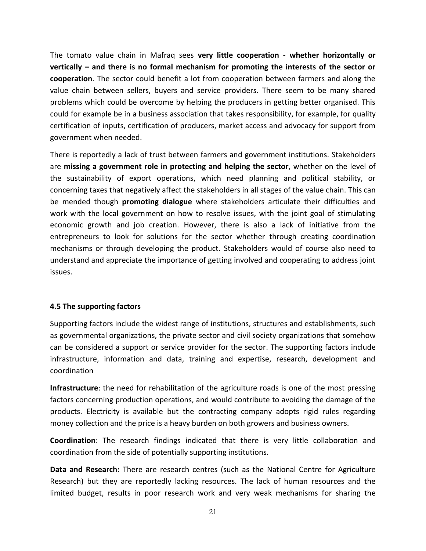The tomato value chain in Mafraq sees **very little cooperation - whether horizontally or vertically – and there is no formal mechanism for promoting the interests of the sector or cooperation**. The sector could benefit a lot from cooperation between farmers and along the value chain between sellers, buyers and service providers. There seem to be many shared problems which could be overcome by helping the producers in getting better organised. This could for example be in a business association that takes responsibility, for example, for quality certification of inputs, certification of producers, market access and advocacy for support from government when needed.

There is reportedly a lack of trust between farmers and government institutions. Stakeholders are **missing a government role in protecting and helping the sector**, whether on the level of the sustainability of export operations, which need planning and political stability, or concerning taxes that negatively affect the stakeholders in all stages of the value chain. This can be mended though **promoting dialogue** where stakeholders articulate their difficulties and work with the local government on how to resolve issues, with the joint goal of stimulating economic growth and job creation. However, there is also a lack of initiative from the entrepreneurs to look for solutions for the sector whether through creating coordination mechanisms or through developing the product. Stakeholders would of course also need to understand and appreciate the importance of getting involved and cooperating to address joint issues.

# <span id="page-20-0"></span>**4.5 The supporting factors**

Supporting factors include the widest range of institutions, structures and establishments, such as governmental organizations, the private sector and civil society organizations that somehow can be considered a support or service provider for the sector. The supporting factors include infrastructure, information and data, training and expertise, research, development and coordination

**Infrastructure**: the need for rehabilitation of the agriculture roads is one of the most pressing factors concerning production operations, and would contribute to avoiding the damage of the products. Electricity is available but the contracting company adopts rigid rules regarding money collection and the price is a heavy burden on both growers and business owners.

**Coordination**: The research findings indicated that there is very little collaboration and coordination from the side of potentially supporting institutions.

**Data and Research:** There are research centres (such as the National Centre for Agriculture Research) but they are reportedly lacking resources. The lack of human resources and the limited budget, results in poor research work and very weak mechanisms for sharing the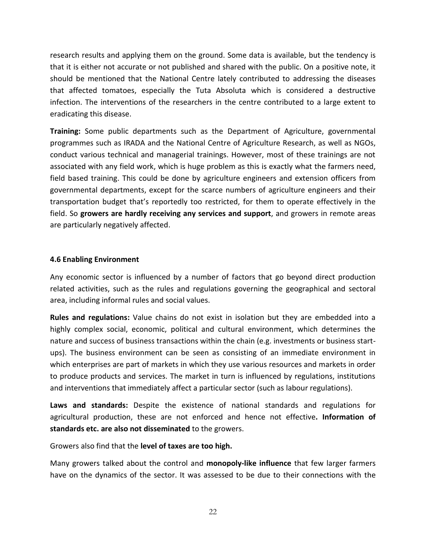research results and applying them on the ground. Some data is available, but the tendency is that it is either not accurate or not published and shared with the public. On a positive note, it should be mentioned that the National Centre lately contributed to addressing the diseases that affected tomatoes, especially the Tuta Absoluta which is considered a destructive infection. The interventions of the researchers in the centre contributed to a large extent to eradicating this disease.

**Training:** Some public departments such as the Department of Agriculture, governmental programmes such as IRADA and the National Centre of Agriculture Research, as well as NGOs, conduct various technical and managerial trainings. However, most of these trainings are not associated with any field work, which is huge problem as this is exactly what the farmers need, field based training. This could be done by agriculture engineers and extension officers from governmental departments, except for the scarce numbers of agriculture engineers and their transportation budget that's reportedly too restricted, for them to operate effectively in the field. So **growers are hardly receiving any services and support**, and growers in remote areas are particularly negatively affected.

#### <span id="page-21-0"></span>**4.6 Enabling Environment**

Any economic sector is influenced by a number of factors that go beyond direct production related activities, such as the rules and regulations governing the geographical and sectoral area, including informal rules and social values.

**Rules and regulations:** Value chains do not exist in isolation but they are embedded into a highly complex social, economic, political and cultural environment, which determines the nature and success of business transactions within the chain (e.g. investments or business startups). The business environment can be seen as consisting of an immediate environment in which enterprises are part of markets in which they use various resources and markets in order to produce products and services. The market in turn is influenced by regulations, institutions and interventions that immediately affect a particular sector (such as labour regulations).

**Laws and standards:** Despite the existence of national standards and regulations for agricultural production, these are not enforced and hence not effective**. Information of standards etc. are also not disseminated** to the growers.

Growers also find that the **level of taxes are too high.** 

Many growers talked about the control and **monopoly-like influence** that few larger farmers have on the dynamics of the sector. It was assessed to be due to their connections with the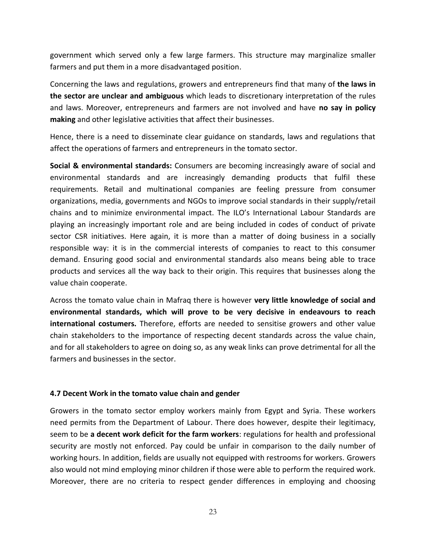government which served only a few large farmers. This structure may marginalize smaller farmers and put them in a more disadvantaged position.

Concerning the laws and regulations, growers and entrepreneurs find that many of **the laws in the sector are unclear and ambiguous** which leads to discretionary interpretation of the rules and laws. Moreover, entrepreneurs and farmers are not involved and have **no say in policy making** and other legislative activities that affect their businesses.

Hence, there is a need to disseminate clear guidance on standards, laws and regulations that affect the operations of farmers and entrepreneurs in the tomato sector.

**Social & environmental standards:** Consumers are becoming increasingly aware of social and environmental standards and are increasingly demanding products that fulfil these requirements. Retail and multinational companies are feeling pressure from consumer organizations, media, governments and NGOs to improve social standards in their supply/retail chains and to minimize environmental impact. The ILO's International Labour Standards are playing an increasingly important role and are being included in codes of conduct of private sector CSR initiatives. Here again, it is more than a matter of doing business in a socially responsible way: it is in the commercial interests of companies to react to this consumer demand. Ensuring good social and environmental standards also means being able to trace products and services all the way back to their origin. This requires that businesses along the value chain cooperate.

Across the tomato value chain in Mafraq there is however **very little knowledge of social and environmental standards, which will prove to be very decisive in endeavours to reach international costumers.** Therefore, efforts are needed to sensitise growers and other value chain stakeholders to the importance of respecting decent standards across the value chain, and for all stakeholders to agree on doing so, as any weak links can prove detrimental for all the farmers and businesses in the sector.

#### <span id="page-22-0"></span>**4.7 Decent Work in the tomato value chain and gender**

Growers in the tomato sector employ workers mainly from Egypt and Syria. These workers need permits from the Department of Labour. There does however, despite their legitimacy, seem to be **a decent work deficit for the farm workers**: regulations for health and professional security are mostly not enforced. Pay could be unfair in comparison to the daily number of working hours. In addition, fields are usually not equipped with restrooms for workers. Growers also would not mind employing minor children if those were able to perform the required work. Moreover, there are no criteria to respect gender differences in employing and choosing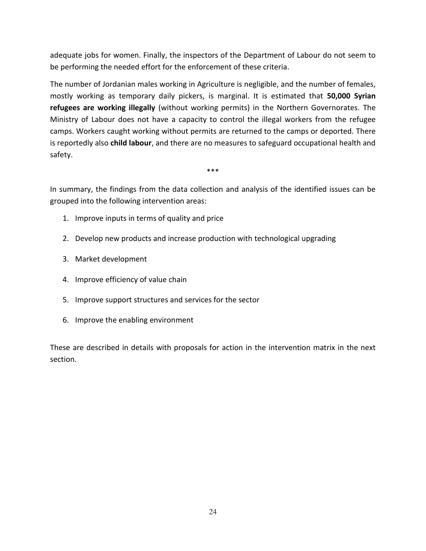adequate jobs for women. Finally, the inspectors of the Department of Labour do not seem to be performing the needed effort for the enforcement of these criteria.

The number of Jordanian males working in Agriculture is negligible, and the number of females, mostly working as temporary daily pickers, is marginal. It is estimated that **50,000 Syrian refugees are working illegally** (without working permits) in the Northern Governorates. The Ministry of Labour does not have a capacity to control the illegal workers from the refugee camps. Workers caught working without permits are returned to the camps or deported. There is reportedly also **child labour**, and there are no measures to safeguard occupational health and safety.

\*\*\*

In summary, the findings from the data collection and analysis of the identified issues can be grouped into the following intervention areas:

- 1. Improve inputs in terms of quality and price
- 2. Develop new products and increase production with technological upgrading
- 3. Market development
- 4. Improve efficiency of value chain
- 5. Improve support structures and services for the sector
- 6. Improve the enabling environment

These are described in details with proposals for action in the intervention matrix in the next section.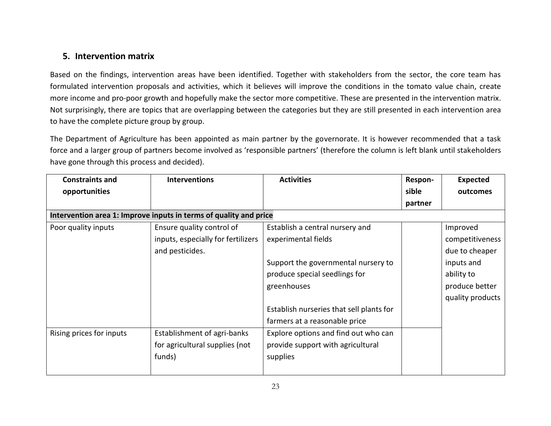# **5. Intervention matrix**

Based on the findings, intervention areas have been identified. Together with stakeholders from the sector, the core team has formulated intervention proposals and activities, which it believes will improve the conditions in the tomato value chain, create more income and pro-poor growth and hopefully make the sector more competitive. These are presented in the intervention matrix. Not surprisingly, there are topics that are overlapping between the categories but they are still presented in each intervention area to have the complete picture group by group.

The Department of Agriculture has been appointed as main partner by the governorate. It is however recommended that a task force and a larger group of partners become involved as 'responsible partners' (therefore the column is left blank until stakeholders have gone through this process and decided).

<span id="page-24-0"></span>

| <b>Constraints and</b>   | <b>Interventions</b>                                              | <b>Activities</b>                        | Respon- | <b>Expected</b>  |
|--------------------------|-------------------------------------------------------------------|------------------------------------------|---------|------------------|
| opportunities            |                                                                   |                                          | sible   | outcomes         |
|                          |                                                                   |                                          | partner |                  |
|                          | Intervention area 1: Improve inputs in terms of quality and price |                                          |         |                  |
| Poor quality inputs      | Ensure quality control of                                         | Establish a central nursery and          |         | Improved         |
|                          | inputs, especially for fertilizers                                | experimental fields                      |         | competitiveness  |
|                          | and pesticides.                                                   |                                          |         | due to cheaper   |
|                          |                                                                   | Support the governmental nursery to      |         | inputs and       |
|                          |                                                                   | produce special seedlings for            |         | ability to       |
|                          |                                                                   | greenhouses                              |         | produce better   |
|                          |                                                                   |                                          |         | quality products |
|                          |                                                                   | Establish nurseries that sell plants for |         |                  |
|                          |                                                                   | farmers at a reasonable price            |         |                  |
| Rising prices for inputs | Establishment of agri-banks                                       | Explore options and find out who can     |         |                  |
|                          | for agricultural supplies (not                                    | provide support with agricultural        |         |                  |
|                          | funds)                                                            | supplies                                 |         |                  |
|                          |                                                                   |                                          |         |                  |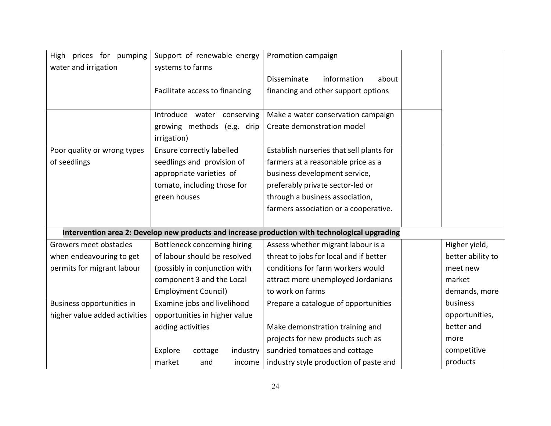| High prices for pumping       | Support of renewable energy    | Promotion campaign                                                                             |                   |
|-------------------------------|--------------------------------|------------------------------------------------------------------------------------------------|-------------------|
| water and irrigation          | systems to farms               |                                                                                                |                   |
|                               |                                | information<br><b>Disseminate</b><br>about                                                     |                   |
|                               | Facilitate access to financing | financing and other support options                                                            |                   |
|                               |                                |                                                                                                |                   |
|                               | Introduce water conserving     | Make a water conservation campaign                                                             |                   |
|                               | growing methods (e.g. drip     | Create demonstration model                                                                     |                   |
|                               | irrigation)                    |                                                                                                |                   |
| Poor quality or wrong types   | Ensure correctly labelled      | Establish nurseries that sell plants for                                                       |                   |
| of seedlings                  | seedlings and provision of     | farmers at a reasonable price as a                                                             |                   |
|                               | appropriate varieties of       | business development service,                                                                  |                   |
|                               | tomato, including those for    | preferably private sector-led or                                                               |                   |
|                               | green houses                   | through a business association,                                                                |                   |
|                               |                                | farmers association or a cooperative.                                                          |                   |
|                               |                                |                                                                                                |                   |
|                               |                                | Intervention area 2: Develop new products and increase production with technological upgrading |                   |
| Growers meet obstacles        | Bottleneck concerning hiring   | Assess whether migrant labour is a                                                             | Higher yield,     |
| when endeavouring to get      | of labour should be resolved   | threat to jobs for local and if better                                                         | better ability to |
| permits for migrant labour    | (possibly in conjunction with  | conditions for farm workers would                                                              | meet new          |
|                               | component 3 and the Local      | attract more unemployed Jordanians                                                             | market            |
|                               | <b>Employment Council)</b>     | to work on farms                                                                               | demands, more     |
| Business opportunities in     | Examine jobs and livelihood    | Prepare a catalogue of opportunities                                                           | business          |
| higher value added activities | opportunities in higher value  |                                                                                                | opportunities,    |
|                               | adding activities              | Make demonstration training and                                                                | better and        |
|                               |                                | projects for new products such as                                                              | more              |
|                               | Explore<br>industry<br>cottage | sundried tomatoes and cottage                                                                  | competitive       |
|                               | market<br>and<br>income        | industry style production of paste and                                                         | products          |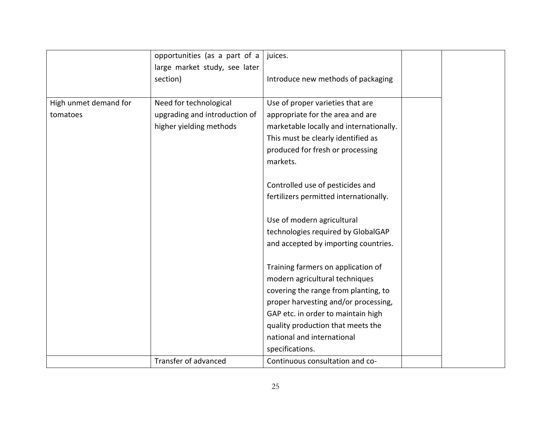|                       | opportunities (as a part of a | juices.                                 |  |
|-----------------------|-------------------------------|-----------------------------------------|--|
|                       | large market study, see later |                                         |  |
|                       | section)                      | Introduce new methods of packaging      |  |
|                       |                               |                                         |  |
| High unmet demand for | Need for technological        | Use of proper varieties that are        |  |
| tomatoes              | upgrading and introduction of | appropriate for the area and are        |  |
|                       | higher yielding methods       | marketable locally and internationally. |  |
|                       |                               | This must be clearly identified as      |  |
|                       |                               | produced for fresh or processing        |  |
|                       |                               | markets.                                |  |
|                       |                               |                                         |  |
|                       |                               | Controlled use of pesticides and        |  |
|                       |                               | fertilizers permitted internationally.  |  |
|                       |                               |                                         |  |
|                       |                               | Use of modern agricultural              |  |
|                       |                               | technologies required by GlobalGAP      |  |
|                       |                               | and accepted by importing countries.    |  |
|                       |                               |                                         |  |
|                       |                               | Training farmers on application of      |  |
|                       |                               | modern agricultural techniques          |  |
|                       |                               | covering the range from planting, to    |  |
|                       |                               | proper harvesting and/or processing,    |  |
|                       |                               | GAP etc. in order to maintain high      |  |
|                       |                               | quality production that meets the       |  |
|                       |                               | national and international              |  |
|                       |                               | specifications.                         |  |
|                       | Transfer of advanced          | Continuous consultation and co-         |  |
|                       |                               |                                         |  |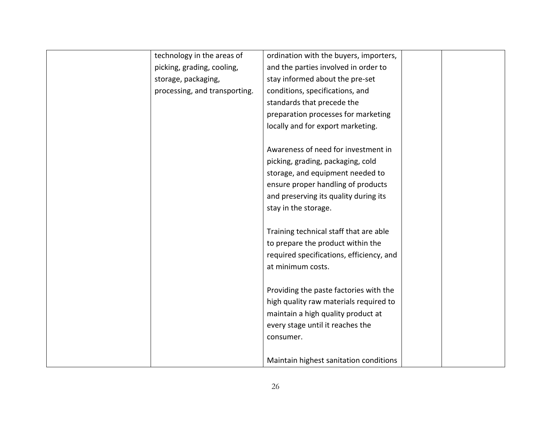| technology in the areas of    | ordination with the buyers, importers,   |  |
|-------------------------------|------------------------------------------|--|
| picking, grading, cooling,    | and the parties involved in order to     |  |
| storage, packaging,           | stay informed about the pre-set          |  |
| processing, and transporting. | conditions, specifications, and          |  |
|                               | standards that precede the               |  |
|                               | preparation processes for marketing      |  |
|                               | locally and for export marketing.        |  |
|                               |                                          |  |
|                               | Awareness of need for investment in      |  |
|                               | picking, grading, packaging, cold        |  |
|                               | storage, and equipment needed to         |  |
|                               | ensure proper handling of products       |  |
|                               | and preserving its quality during its    |  |
|                               | stay in the storage.                     |  |
|                               |                                          |  |
|                               | Training technical staff that are able   |  |
|                               | to prepare the product within the        |  |
|                               | required specifications, efficiency, and |  |
|                               | at minimum costs.                        |  |
|                               |                                          |  |
|                               | Providing the paste factories with the   |  |
|                               | high quality raw materials required to   |  |
|                               | maintain a high quality product at       |  |
|                               | every stage until it reaches the         |  |
|                               | consumer.                                |  |
|                               |                                          |  |
|                               | Maintain highest sanitation conditions   |  |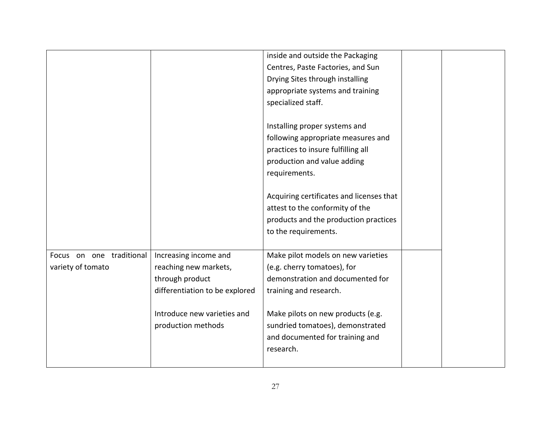|                          |                                | inside and outside the Packaging         |  |
|--------------------------|--------------------------------|------------------------------------------|--|
|                          |                                | Centres, Paste Factories, and Sun        |  |
|                          |                                | Drying Sites through installing          |  |
|                          |                                | appropriate systems and training         |  |
|                          |                                | specialized staff.                       |  |
|                          |                                |                                          |  |
|                          |                                | Installing proper systems and            |  |
|                          |                                | following appropriate measures and       |  |
|                          |                                | practices to insure fulfilling all       |  |
|                          |                                | production and value adding              |  |
|                          |                                | requirements.                            |  |
|                          |                                |                                          |  |
|                          |                                | Acquiring certificates and licenses that |  |
|                          |                                | attest to the conformity of the          |  |
|                          |                                | products and the production practices    |  |
|                          |                                | to the requirements.                     |  |
|                          |                                |                                          |  |
| Focus on one traditional | Increasing income and          | Make pilot models on new varieties       |  |
| variety of tomato        | reaching new markets,          | (e.g. cherry tomatoes), for              |  |
|                          | through product                | demonstration and documented for         |  |
|                          | differentiation to be explored | training and research.                   |  |
|                          |                                |                                          |  |
|                          | Introduce new varieties and    | Make pilots on new products (e.g.        |  |
|                          | production methods             | sundried tomatoes), demonstrated         |  |
|                          |                                | and documented for training and          |  |
|                          |                                | research.                                |  |
|                          |                                |                                          |  |
|                          |                                |                                          |  |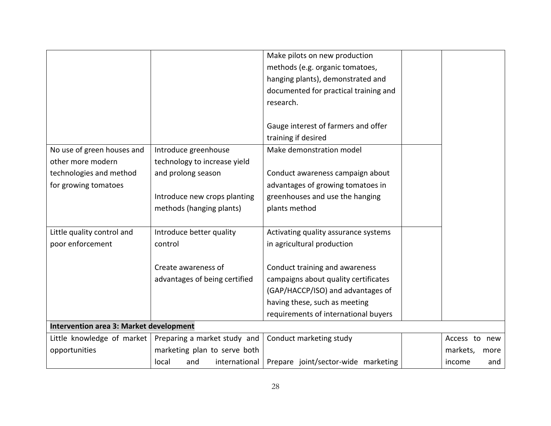|                                         |                               | Make pilots on new production         |                  |
|-----------------------------------------|-------------------------------|---------------------------------------|------------------|
|                                         |                               | methods (e.g. organic tomatoes,       |                  |
|                                         |                               | hanging plants), demonstrated and     |                  |
|                                         |                               | documented for practical training and |                  |
|                                         |                               | research.                             |                  |
|                                         |                               |                                       |                  |
|                                         |                               | Gauge interest of farmers and offer   |                  |
|                                         |                               | training if desired                   |                  |
| No use of green houses and              | Introduce greenhouse          | Make demonstration model              |                  |
| other more modern                       | technology to increase yield  |                                       |                  |
| technologies and method                 | and prolong season            | Conduct awareness campaign about      |                  |
| for growing tomatoes                    |                               | advantages of growing tomatoes in     |                  |
|                                         | Introduce new crops planting  | greenhouses and use the hanging       |                  |
|                                         | methods (hanging plants)      | plants method                         |                  |
|                                         |                               |                                       |                  |
| Little quality control and              | Introduce better quality      | Activating quality assurance systems  |                  |
| poor enforcement                        | control                       | in agricultural production            |                  |
|                                         |                               |                                       |                  |
|                                         | Create awareness of           | Conduct training and awareness        |                  |
|                                         | advantages of being certified | campaigns about quality certificates  |                  |
|                                         |                               | (GAP/HACCP/ISO) and advantages of     |                  |
|                                         |                               | having these, such as meeting         |                  |
|                                         |                               | requirements of international buyers  |                  |
| Intervention area 3: Market development |                               |                                       |                  |
| Little knowledge of market              | Preparing a market study and  | Conduct marketing study               | Access to new    |
| opportunities                           | marketing plan to serve both  |                                       | markets,<br>more |
|                                         | and<br>international<br>local | Prepare joint/sector-wide marketing   | income<br>and    |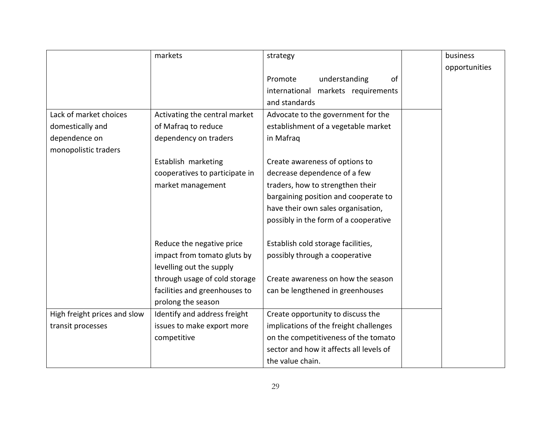|                              | markets                        | strategy                                | business      |
|------------------------------|--------------------------------|-----------------------------------------|---------------|
|                              |                                |                                         | opportunities |
|                              |                                | of<br>understanding<br>Promote          |               |
|                              |                                | markets requirements<br>international   |               |
|                              |                                | and standards                           |               |
| Lack of market choices       | Activating the central market  | Advocate to the government for the      |               |
| domestically and             | of Mafraq to reduce            | establishment of a vegetable market     |               |
| dependence on                | dependency on traders          | in Mafraq                               |               |
| monopolistic traders         |                                |                                         |               |
|                              | Establish marketing            | Create awareness of options to          |               |
|                              | cooperatives to participate in | decrease dependence of a few            |               |
|                              | market management              | traders, how to strengthen their        |               |
|                              |                                | bargaining position and cooperate to    |               |
|                              |                                | have their own sales organisation,      |               |
|                              |                                | possibly in the form of a cooperative   |               |
|                              |                                |                                         |               |
|                              | Reduce the negative price      | Establish cold storage facilities,      |               |
|                              | impact from tomato gluts by    | possibly through a cooperative          |               |
|                              | levelling out the supply       |                                         |               |
|                              | through usage of cold storage  | Create awareness on how the season      |               |
|                              | facilities and greenhouses to  | can be lengthened in greenhouses        |               |
|                              | prolong the season             |                                         |               |
| High freight prices and slow | Identify and address freight   | Create opportunity to discuss the       |               |
| transit processes            | issues to make export more     | implications of the freight challenges  |               |
|                              | competitive                    | on the competitiveness of the tomato    |               |
|                              |                                | sector and how it affects all levels of |               |
|                              |                                | the value chain.                        |               |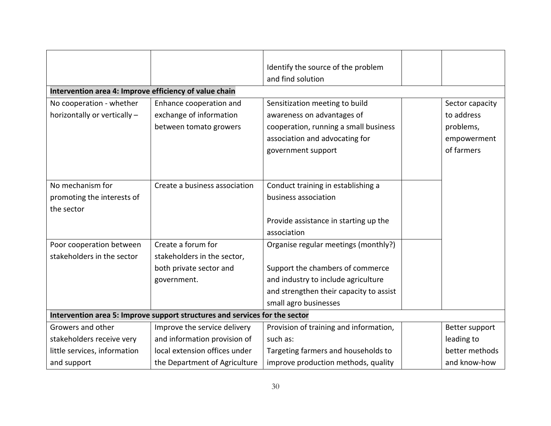|                                                        |                                                                             | Identify the source of the problem      |                 |
|--------------------------------------------------------|-----------------------------------------------------------------------------|-----------------------------------------|-----------------|
|                                                        |                                                                             | and find solution                       |                 |
| Intervention area 4: Improve efficiency of value chain |                                                                             |                                         |                 |
| No cooperation - whether                               | Enhance cooperation and                                                     | Sensitization meeting to build          | Sector capacity |
| horizontally or vertically -                           | exchange of information                                                     | awareness on advantages of              | to address      |
|                                                        | between tomato growers                                                      | cooperation, running a small business   | problems,       |
|                                                        |                                                                             | association and advocating for          | empowerment     |
|                                                        |                                                                             | government support                      | of farmers      |
|                                                        |                                                                             |                                         |                 |
|                                                        |                                                                             |                                         |                 |
| No mechanism for                                       | Create a business association                                               | Conduct training in establishing a      |                 |
| promoting the interests of                             |                                                                             | business association                    |                 |
| the sector                                             |                                                                             |                                         |                 |
|                                                        |                                                                             | Provide assistance in starting up the   |                 |
|                                                        |                                                                             | association                             |                 |
| Poor cooperation between                               | Create a forum for                                                          | Organise regular meetings (monthly?)    |                 |
| stakeholders in the sector                             | stakeholders in the sector,                                                 |                                         |                 |
|                                                        | both private sector and                                                     | Support the chambers of commerce        |                 |
|                                                        | government.                                                                 | and industry to include agriculture     |                 |
|                                                        |                                                                             | and strengthen their capacity to assist |                 |
|                                                        |                                                                             | small agro businesses                   |                 |
|                                                        | Intervention area 5: Improve support structures and services for the sector |                                         |                 |
| Growers and other                                      | Improve the service delivery                                                | Provision of training and information,  | Better support  |
| stakeholders receive very                              | and information provision of                                                | such as:                                | leading to      |
| little services, information                           | local extension offices under                                               | Targeting farmers and households to     | better methods  |
| and support                                            | the Department of Agriculture                                               | improve production methods, quality     | and know-how    |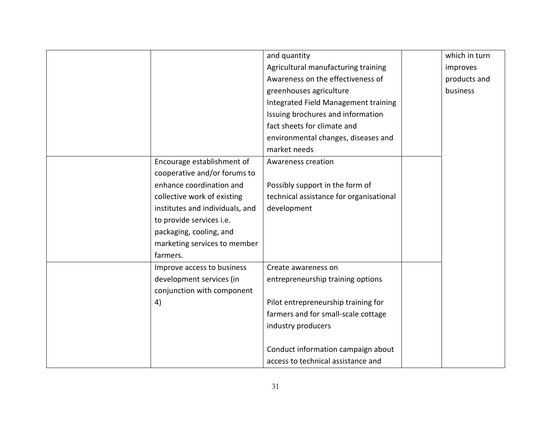|                                 | and quantity                            | which in turn |
|---------------------------------|-----------------------------------------|---------------|
|                                 | Agricultural manufacturing training     | improves      |
|                                 | Awareness on the effectiveness of       | products and  |
|                                 | greenhouses agriculture                 | business      |
|                                 | Integrated Field Management training    |               |
|                                 | Issuing brochures and information       |               |
|                                 | fact sheets for climate and             |               |
|                                 | environmental changes, diseases and     |               |
|                                 | market needs                            |               |
| Encourage establishment of      | Awareness creation                      |               |
| cooperative and/or forums to    |                                         |               |
| enhance coordination and        | Possibly support in the form of         |               |
| collective work of existing     | technical assistance for organisational |               |
| institutes and individuals, and | development                             |               |
| to provide services i.e.        |                                         |               |
| packaging, cooling, and         |                                         |               |
| marketing services to member    |                                         |               |
| farmers.                        |                                         |               |
| Improve access to business      | Create awareness on                     |               |
| development services (in        | entrepreneurship training options       |               |
| conjunction with component      |                                         |               |
| 4)                              | Pilot entrepreneurship training for     |               |
|                                 | farmers and for small-scale cottage     |               |
|                                 | industry producers                      |               |
|                                 |                                         |               |
|                                 | Conduct information campaign about      |               |
|                                 | access to technical assistance and      |               |
|                                 |                                         |               |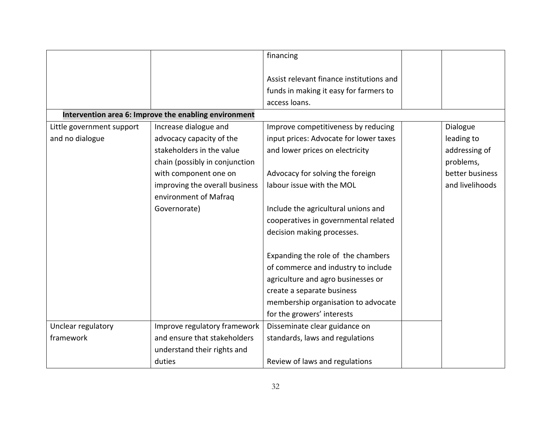|                           |                                                       | financing                                |                 |
|---------------------------|-------------------------------------------------------|------------------------------------------|-----------------|
|                           |                                                       | Assist relevant finance institutions and |                 |
|                           |                                                       | funds in making it easy for farmers to   |                 |
|                           |                                                       | access loans.                            |                 |
|                           | Intervention area 6: Improve the enabling environment |                                          |                 |
|                           |                                                       |                                          |                 |
| Little government support | Increase dialogue and                                 | Improve competitiveness by reducing      | Dialogue        |
| and no dialogue           | advocacy capacity of the                              | input prices: Advocate for lower taxes   | leading to      |
|                           | stakeholders in the value                             | and lower prices on electricity          | addressing of   |
|                           | chain (possibly in conjunction                        |                                          | problems,       |
|                           | with component one on                                 | Advocacy for solving the foreign         | better business |
|                           | improving the overall business                        | labour issue with the MOL                | and livelihoods |
|                           | environment of Mafraq                                 |                                          |                 |
|                           | Governorate)                                          | Include the agricultural unions and      |                 |
|                           |                                                       | cooperatives in governmental related     |                 |
|                           |                                                       | decision making processes.               |                 |
|                           |                                                       |                                          |                 |
|                           |                                                       | Expanding the role of the chambers       |                 |
|                           |                                                       | of commerce and industry to include      |                 |
|                           |                                                       | agriculture and agro businesses or       |                 |
|                           |                                                       | create a separate business               |                 |
|                           |                                                       | membership organisation to advocate      |                 |
|                           |                                                       | for the growers' interests               |                 |
| Unclear regulatory        | Improve regulatory framework                          | Disseminate clear guidance on            |                 |
| framework                 | and ensure that stakeholders                          | standards, laws and regulations          |                 |
|                           | understand their rights and                           |                                          |                 |
|                           | duties                                                | Review of laws and regulations           |                 |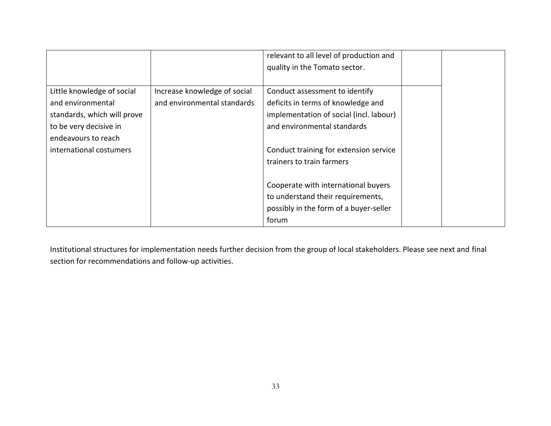|                             |                              | relevant to all level of production and |  |
|-----------------------------|------------------------------|-----------------------------------------|--|
|                             |                              | quality in the Tomato sector.           |  |
|                             |                              |                                         |  |
| Little knowledge of social  | Increase knowledge of social | Conduct assessment to identify          |  |
| and environmental           | and environmental standards  | deficits in terms of knowledge and      |  |
| standards, which will prove |                              | implementation of social (incl. labour) |  |
| to be very decisive in      |                              | and environmental standards             |  |
| endeavours to reach         |                              |                                         |  |
| international costumers     |                              | Conduct training for extension service  |  |
|                             |                              | trainers to train farmers               |  |
|                             |                              |                                         |  |
|                             |                              | Cooperate with international buyers     |  |
|                             |                              | to understand their requirements,       |  |
|                             |                              | possibly in the form of a buyer-seller  |  |
|                             |                              | forum                                   |  |

Institutional structures for implementation needs further decision from the group of local stakeholders. Please see next and final section for recommendations and follow-up activities.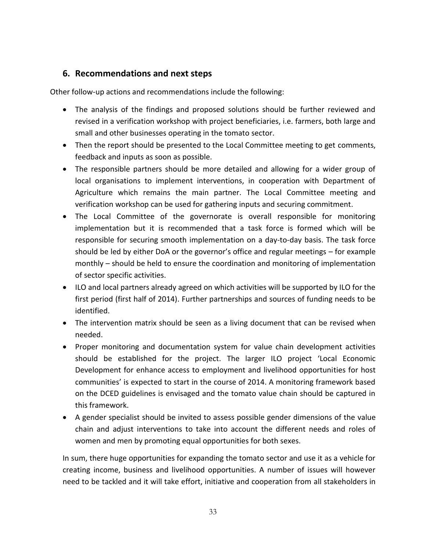# <span id="page-35-0"></span>**6. Recommendations and next steps**

Other follow-up actions and recommendations include the following:

- The analysis of the findings and proposed solutions should be further reviewed and revised in a verification workshop with project beneficiaries, i.e. farmers, both large and small and other businesses operating in the tomato sector.
- Then the report should be presented to the Local Committee meeting to get comments, feedback and inputs as soon as possible.
- The responsible partners should be more detailed and allowing for a wider group of local organisations to implement interventions, in cooperation with Department of Agriculture which remains the main partner. The Local Committee meeting and verification workshop can be used for gathering inputs and securing commitment.
- The Local Committee of the governorate is overall responsible for monitoring implementation but it is recommended that a task force is formed which will be responsible for securing smooth implementation on a day-to-day basis. The task force should be led by either DoA or the governor's office and regular meetings – for example monthly – should be held to ensure the coordination and monitoring of implementation of sector specific activities.
- ILO and local partners already agreed on which activities will be supported by ILO for the first period (first half of 2014). Further partnerships and sources of funding needs to be identified.
- The intervention matrix should be seen as a living document that can be revised when needed.
- Proper monitoring and documentation system for value chain development activities should be established for the project. The larger ILO project 'Local Economic Development for enhance access to employment and livelihood opportunities for host communities' is expected to start in the course of 2014. A monitoring framework based on the DCED guidelines is envisaged and the tomato value chain should be captured in this framework.
- A gender specialist should be invited to assess possible gender dimensions of the value chain and adjust interventions to take into account the different needs and roles of women and men by promoting equal opportunities for both sexes.

In sum, there huge opportunities for expanding the tomato sector and use it as a vehicle for creating income, business and livelihood opportunities. A number of issues will however need to be tackled and it will take effort, initiative and cooperation from all stakeholders in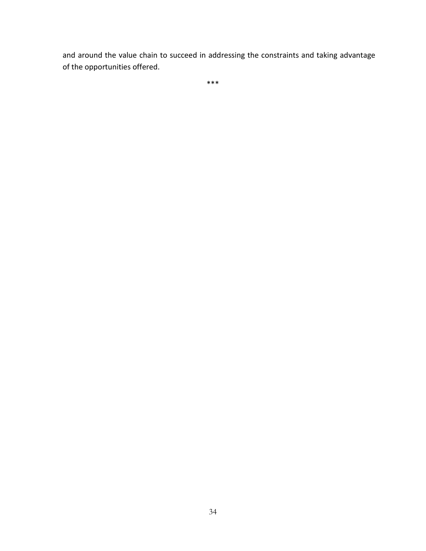and around the value chain to succeed in addressing the constraints and taking advantage of the opportunities offered.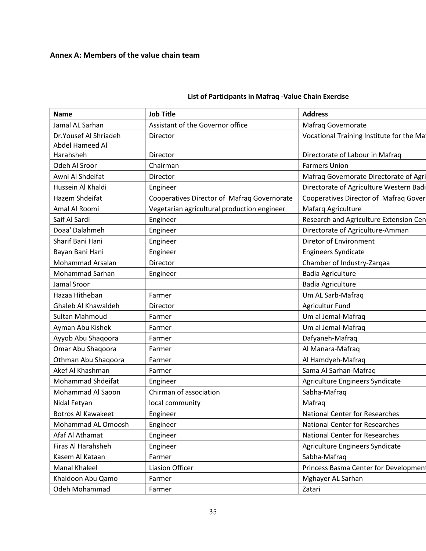# <span id="page-37-0"></span>**Annex A: Members of the value chain team**

| <b>Name</b>               | <b>Job Title</b>                            | <b>Address</b>                           |
|---------------------------|---------------------------------------------|------------------------------------------|
| Jamal AL Sarhan           | Assistant of the Governor office            | Mafraq Governorate                       |
| Dr.Yousef Al Shriadeh     | Director                                    | Vocational Training Institute for the Ma |
| Abdel Hameed Al           |                                             |                                          |
| Harahsheh                 | Director                                    | Directorate of Labour in Mafrag          |
| Odeh Al Sroor             | Chairman                                    | <b>Farmers Union</b>                     |
| Awni Al Shdeifat          | Director                                    | Mafraq Governorate Directorate of Agri   |
| Hussein Al Khaldi         | Engineer                                    | Directorate of Agriculture Western Badi  |
| Hazem Shdeifat            | Cooperatives Director of Mafraq Governorate | Cooperatives Director of Mafraq Gover    |
| Amal Al Roomi             | Vegetarian agricultural production engineer | Mafarq Agriculture                       |
| Saif Al Sardi             | Engineer                                    | Research and Agriculture Extension Cen   |
| Doaa' Dalahmeh            | Engineer                                    | Directorate of Agriculture-Amman         |
| Sharif Bani Hani          | Engineer                                    | Diretor of Environment                   |
| Bayan Bani Hani           | Engineer                                    | <b>Engineers Syndicate</b>               |
| Mohammad Arsalan          | Director                                    | Chamber of Industry-Zarqaa               |
| <b>Mohammad Sarhan</b>    | Engineer                                    | <b>Badia Agriculture</b>                 |
| Jamal Sroor               |                                             | <b>Badia Agriculture</b>                 |
| Hazaa Hitheban            | Farmer                                      | Um AL Sarb-Mafraq                        |
| Ghaleb Al Khawaldeh       | Director                                    | <b>Agricultur Fund</b>                   |
| Sultan Mahmoud            | Farmer                                      | Um al Jemal-Mafraq                       |
| Ayman Abu Kishek          | Farmer                                      | Um al Jemal-Mafraq                       |
| Ayyob Abu Shaqoora        | Farmer                                      | Dafyaneh-Mafraq                          |
| Omar Abu Shaqoora         | Farmer                                      | Al Manara-Mafraq                         |
| Othman Abu Shaqoora       | Farmer                                      | Al Hamdyeh-Mafraq                        |
| Akef Al Khashman          | Farmer                                      | Sama Al Sarhan-Mafraq                    |
| <b>Mohammad Shdeifat</b>  | Engineer                                    | Agriculture Engineers Syndicate          |
| Mohammad Al Saoon         | Chirman of association                      | Sabha-Mafraq                             |
| Nidal Fetyan              | local community                             | Mafrag                                   |
| <b>Botros Al Kawakeet</b> | Engineer                                    | <b>National Center for Researches</b>    |
| Mohammad AL Omoosh        | Engineer                                    | <b>National Center for Researches</b>    |
| Afaf Al Athamat           | Engineer                                    | <b>National Center for Researches</b>    |
| Firas Al Harahsheh        | Engineer                                    | Agriculture Engineers Syndicate          |
| Kasem Al Kataan           | Farmer                                      | Sabha-Mafraq                             |
| Manal Khaleel             | <b>Liasion Officer</b>                      | Princess Basma Center for Development    |
| Khaldoon Abu Qamo         | Farmer                                      | Mghayer AL Sarhan                        |
| Odeh Mohammad             | Farmer                                      | Zatari                                   |

# **List of Participants in Mafraq -Value Chain Exercise**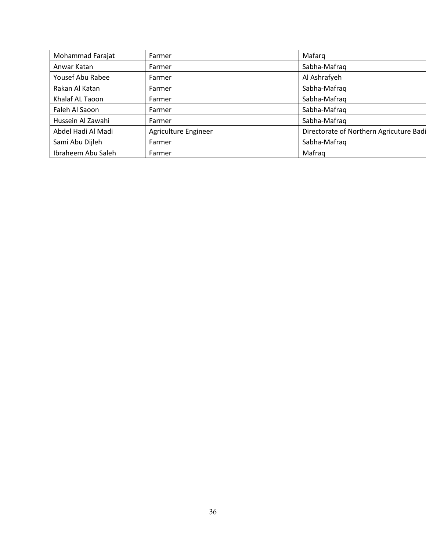| Mohammad Farajat   | Farmer               | Mafarq                                  |
|--------------------|----------------------|-----------------------------------------|
| Anwar Katan        | Farmer               | Sabha-Mafraq                            |
| Yousef Abu Rabee   | Farmer               | Al Ashrafyeh                            |
| Rakan Al Katan     | Farmer               | Sabha-Mafraq                            |
| Khalaf AL Taoon    | Farmer               | Sabha-Mafrag                            |
| Faleh Al Saoon     | Farmer               | Sabha-Mafrag                            |
| Hussein Al Zawahi  | Farmer               | Sabha-Mafraq                            |
| Abdel Hadi Al Madi | Agriculture Engineer | Directorate of Northern Agricuture Badi |
| Sami Abu Dijleh    | Farmer               | Sabha-Mafraq                            |
| Ibraheem Abu Saleh | Farmer               | Mafrag                                  |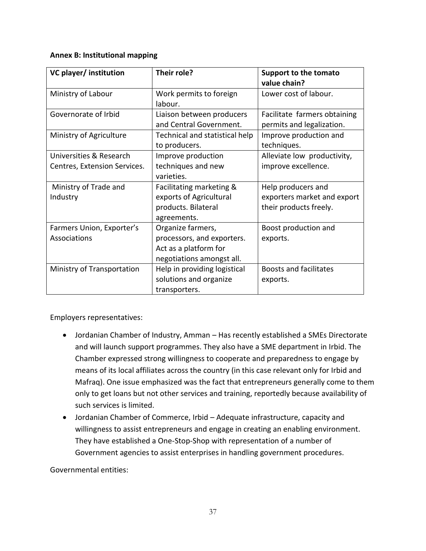#### <span id="page-39-0"></span>**Annex B: Institutional mapping**

| VC player/ institution                                  | Their role?                                                                                           | Support to the tomato<br>value chain?                                       |
|---------------------------------------------------------|-------------------------------------------------------------------------------------------------------|-----------------------------------------------------------------------------|
| Ministry of Labour                                      | Work permits to foreign<br>labour.                                                                    | Lower cost of labour.                                                       |
| Governorate of Irbid                                    | Liaison between producers<br>and Central Government.                                                  | Facilitate farmers obtaining<br>permits and legalization.                   |
| Ministry of Agriculture                                 | Technical and statistical help<br>to producers.                                                       | Improve production and<br>techniques.                                       |
| Universities & Research<br>Centres, Extension Services. | Improve production<br>techniques and new<br>varieties.                                                | Alleviate low productivity,<br>improve excellence.                          |
| Ministry of Trade and<br>Industry                       | Facilitating marketing &<br>exports of Agricultural<br>products. Bilateral<br>agreements.             | Help producers and<br>exporters market and export<br>their products freely. |
| Farmers Union, Exporter's<br>Associations               | Organize farmers,<br>processors, and exporters.<br>Act as a platform for<br>negotiations amongst all. | Boost production and<br>exports.                                            |
| Ministry of Transportation                              | Help in providing logistical<br>solutions and organize<br>transporters.                               | <b>Boosts and facilitates</b><br>exports.                                   |

Employers representatives:

- Jordanian Chamber of Industry, Amman Has recently established a SMEs Directorate and will launch support programmes. They also have a SME department in Irbid. The Chamber expressed strong willingness to cooperate and preparedness to engage by means of its local affiliates across the country (in this case relevant only for Irbid and Mafraq). One issue emphasized was the fact that entrepreneurs generally come to them only to get loans but not other services and training, reportedly because availability of such services is limited.
- Jordanian Chamber of Commerce, Irbid Adequate infrastructure, capacity and willingness to assist entrepreneurs and engage in creating an enabling environment. They have established a One-Stop-Shop with representation of a number of Government agencies to assist enterprises in handling government procedures.

Governmental entities: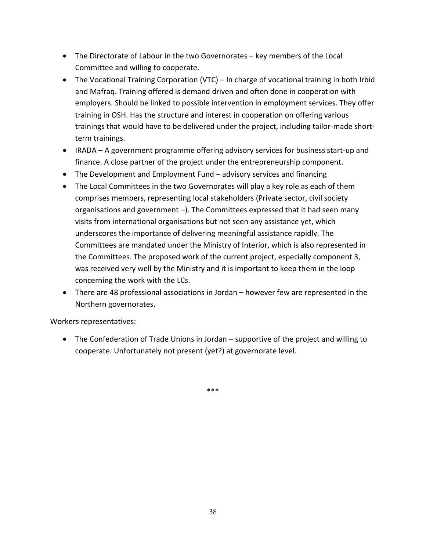- The Directorate of Labour in the two Governorates key members of the Local Committee and willing to cooperate.
- The Vocational Training Corporation (VTC) In charge of vocational training in both Irbid and Mafraq. Training offered is demand driven and often done in cooperation with employers. Should be linked to possible intervention in employment services. They offer training in OSH. Has the structure and interest in cooperation on offering various trainings that would have to be delivered under the project, including tailor-made shortterm trainings.
- IRADA A government programme offering advisory services for business start-up and finance. A close partner of the project under the entrepreneurship component.
- The Development and Employment Fund advisory services and financing
- The Local Committees in the two Governorates will play a key role as each of them comprises members, representing local stakeholders (Private sector, civil society organisations and government –). The Committees expressed that it had seen many visits from international organisations but not seen any assistance yet, which underscores the importance of delivering meaningful assistance rapidly. The Committees are mandated under the Ministry of Interior, which is also represented in the Committees. The proposed work of the current project, especially component 3, was received very well by the Ministry and it is important to keep them in the loop concerning the work with the LCs.
- There are 48 professional associations in Jordan however few are represented in the Northern governorates.

Workers representatives:

 The Confederation of Trade Unions in Jordan – supportive of the project and willing to cooperate. Unfortunately not present (yet?) at governorate level.

\*\*\*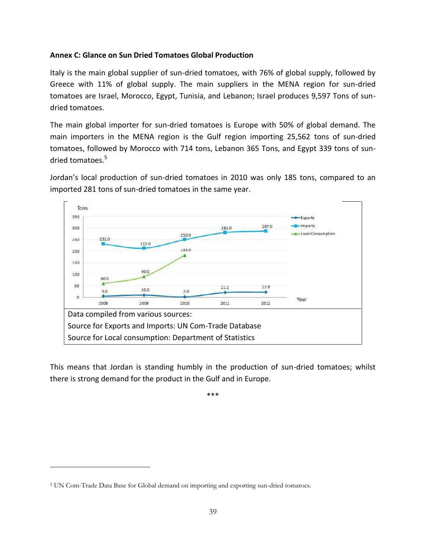#### <span id="page-41-0"></span>**Annex C: Glance on Sun Dried Tomatoes Global Production**

Italy is the main global supplier of sun-dried tomatoes, with 76% of global supply, followed by Greece with 11% of global supply. The main suppliers in the MENA region for sun-dried tomatoes are Israel, Morocco, Egypt, Tunisia, and Lebanon; Israel produces 9,597 Tons of sundried tomatoes.

The main global importer for sun-dried tomatoes is Europe with 50% of global demand. The main importers in the MENA region is the Gulf region importing 25,562 tons of sun-dried tomatoes, followed by Morocco with 714 tons, Lebanon 365 Tons, and Egypt 339 tons of sundried tomatoes.<sup>5</sup>

Jordan's local production of sun-dried tomatoes in 2010 was only 185 tons, compared to an imported 281 tons of sun-dried tomatoes in the same year.



This means that Jordan is standing humbly in the production of sun-dried tomatoes; whilst there is strong demand for the product in the Gulf and in Europe.

\*\*\*

 $\overline{a}$ 

<sup>5</sup> UN Com-Trade Data Base for Global demand on importing and exporting sun-dried tomatoes.